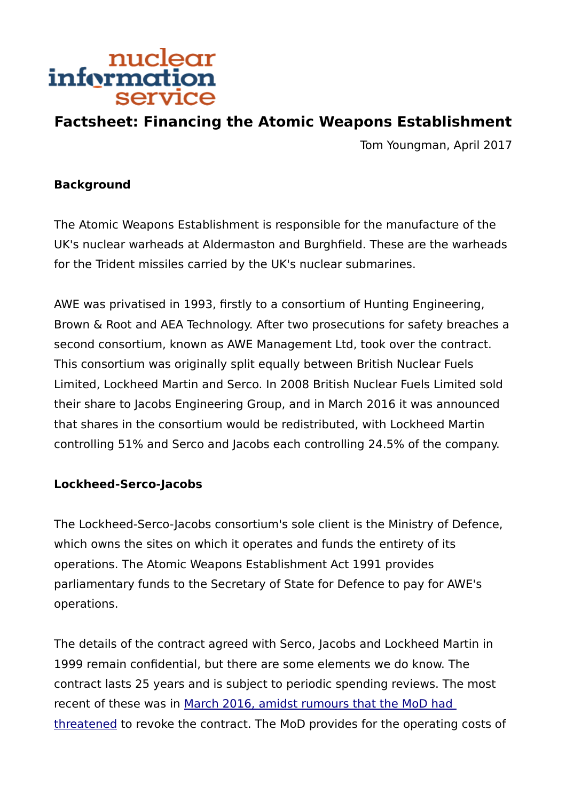# nuclear<br>information service

## **Factsheet: Financing the Atomic Weapons Establishment**

Tom Youngman, April 2017

#### **Background**

The Atomic Weapons Establishment is responsible for the manufacture of the UK's nuclear warheads at Aldermaston and Burghfield. These are the warheads for the Trident missiles carried by the UK's nuclear submarines.

AWE was privatised in 1993, firstly to a consortium of Hunting Engineering, Brown & Root and AEA Technology. After two prosecutions for safety breaches a second consortium, known as AWE Management Ltd, took over the contract. This consortium was originally split equally between British Nuclear Fuels Limited, Lockheed Martin and Serco. In 2008 British Nuclear Fuels Limited sold their share to Jacobs Engineering Group, and in March 2016 it was announced that shares in the consortium would be redistributed, with Lockheed Martin controlling 51% and Serco and Jacobs each controlling 24.5% of the company.

#### **Lockheed-Serco-Jacobs**

The Lockheed-Serco-Jacobs consortium's sole client is the Ministry of Defence, which owns the sites on which it operates and funds the entirety of its operations. The Atomic Weapons Establishment Act 1991 provides parliamentary funds to the Secretary of State for Defence to pay for AWE's operations.

The details of the contract agreed with Serco, Jacobs and Lockheed Martin in 1999 remain confidential, but there are some elements we do know. The contract lasts 25 years and is subject to periodic spending reviews. The most recent of these was in [March 2016, amidst rumours that the MoD had](http://nuclearinfo.org/article/government-awe-aldermaston-awe-burghfield/awe-consortium-retains-contract-despite-poor)  [threatened](http://nuclearinfo.org/article/government-awe-aldermaston-awe-burghfield/awe-consortium-retains-contract-despite-poor) to revoke the contract. The MoD provides for the operating costs of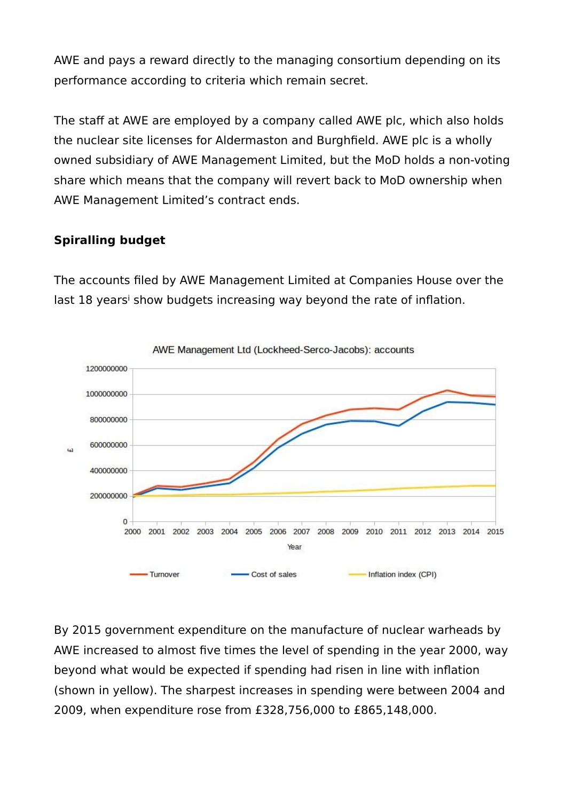AWE and pays a reward directly to the managing consortium depending on its performance according to criteria which remain secret.

The staff at AWE are employed by a company called AWE plc, which also holds the nuclear site licenses for Aldermaston and Burghfield. AWE plc is a wholly owned subsidiary of AWE Management Limited, but the MoD holds a non-voting share which means that the company will revert back to MoD ownership when AWE Management Limited's contract ends.

### **Spiralling budget**

The accounts filed by AWE Management Limited at Companies House over the last 18 years<sup>i</sup> show budgets increasing way beyond the rate of inflation.



AWE Management Ltd (Lockheed-Serco-Jacobs): accounts

By 2015 government expenditure on the manufacture of nuclear warheads by AWE increased to almost five times the level of spending in the year 2000, way beyond what would be expected if spending had risen in line with inflation (shown in yellow). The sharpest increases in spending were between 2004 and 2009, when expenditure rose from £328,756,000 to £865,148,000.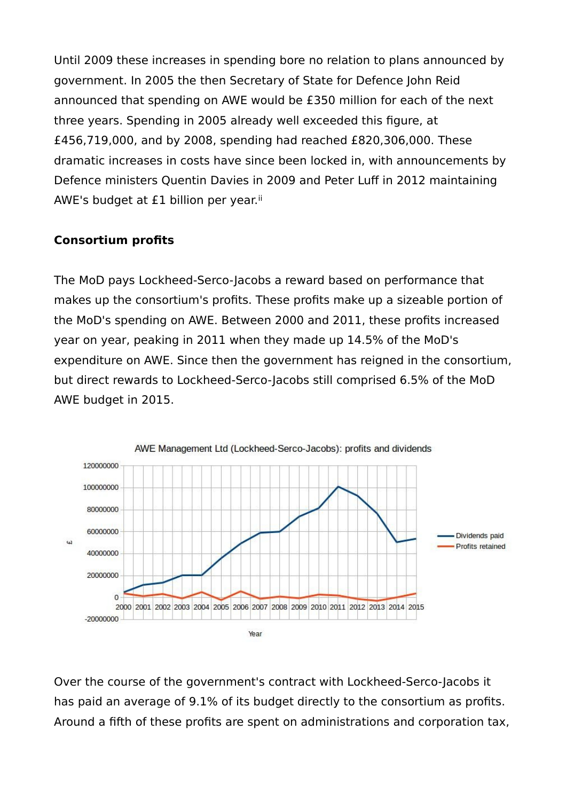Until 2009 these increases in spending bore no relation to plans announced by government. In 2005 the then Secretary of State for Defence John Reid announced that spending on AWE would be £350 million for each of the next three years. Spending in 2005 already well exceeded this figure, at £456,719,000, and by 2008, spending had reached £820,306,000. These dramatic increases in costs have since been locked in, with announcements by Defence ministers Quentin Davies in 2009 and Peter Luff in 2012 maintaining AWE's budget at  $£1$  billion per year.<sup>ii</sup>

#### **Consortium profits**

The MoD pays Lockheed-Serco-Jacobs a reward based on performance that makes up the consortium's profits. These profits make up a sizeable portion of the MoD's spending on AWE. Between 2000 and 2011, these profits increased year on year, peaking in 2011 when they made up 14.5% of the MoD's expenditure on AWE. Since then the government has reigned in the consortium, but direct rewards to Lockheed-Serco-Jacobs still comprised 6.5% of the MoD AWE budget in 2015.



Over the course of the government's contract with Lockheed-Serco-Jacobs it has paid an average of 9.1% of its budget directly to the consortium as profits. Around a fifth of these profits are spent on administrations and corporation tax,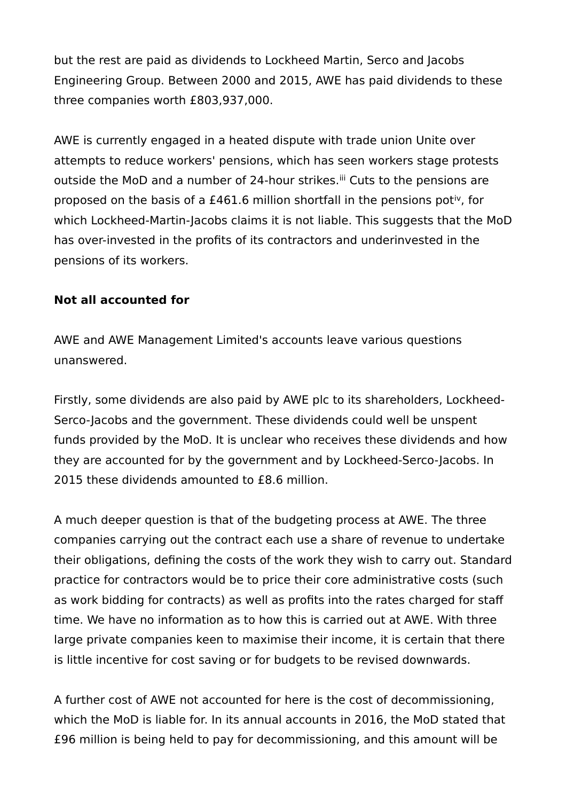but the rest are paid as dividends to Lockheed Martin, Serco and Jacobs Engineering Group. Between 2000 and 2015, AWE has paid dividends to these three companies worth £803,937,000.

AWE is currently engaged in a heated dispute with trade union Unite over attempts to reduce workers' pensions, which has seen workers stage protests outside the MoD and a number of 24-hour strikes.<sup>iii</sup> Cuts to the pensions are proposed on the basis of a £461.6 million shortfall in the pensions potiv, for which Lockheed-Martin-Jacobs claims it is not liable. This suggests that the MoD has over-invested in the profits of its contractors and underinvested in the pensions of its workers.

#### **Not all accounted for**

AWE and AWE Management Limited's accounts leave various questions unanswered.

Firstly, some dividends are also paid by AWE plc to its shareholders, Lockheed-Serco-Jacobs and the government. These dividends could well be unspent funds provided by the MoD. It is unclear who receives these dividends and how they are accounted for by the government and by Lockheed-Serco-Jacobs. In 2015 these dividends amounted to £8.6 million.

A much deeper question is that of the budgeting process at AWE. The three companies carrying out the contract each use a share of revenue to undertake their obligations, defining the costs of the work they wish to carry out. Standard practice for contractors would be to price their core administrative costs (such as work bidding for contracts) as well as profits into the rates charged for staff time. We have no information as to how this is carried out at AWE. With three large private companies keen to maximise their income, it is certain that there is little incentive for cost saving or for budgets to be revised downwards.

A further cost of AWE not accounted for here is the cost of decommissioning, which the MoD is liable for. In its annual accounts in 2016, the MoD stated that £96 million is being held to pay for decommissioning, and this amount will be